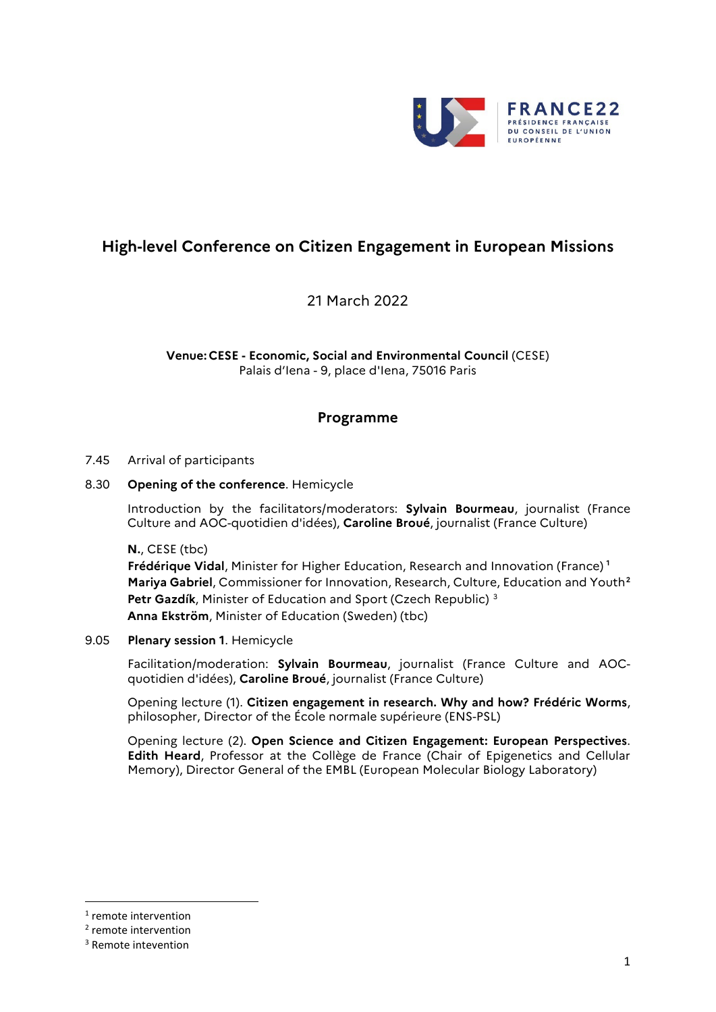

# **High-level Conference on Citizen Engagement in European Missions**

21 March 2022

**Venue: CESE - Economic, Social and Environmental Council** (CESE) Palais d'Iena - 9, place d'Iena, 75016 Paris

## **Programme**

#### 7.45 Arrival of participants

#### 8.30 **Opening of the conference**. Hemicycle

Introduction by the facilitators/moderators: **Sylvain Bourmeau**, journalist (France Culture and AOC-quotidien d'idées), **Caroline Broué**, journalist (France Culture)

**N.**, CESE (tbc)

**Frédérique Vidal**, Minister for Higher Education, Research and Innovation (France) **[1](#page-0-0) Mariya Gabriel**, Commissioner for Innovation, Research, Culture, Education and Youth**[2](#page-0-1) Petr Gazdík**, Minister of Education and Sport (Czech Republic) [3](#page-0-2) **Anna Ekström**, Minister of Education (Sweden) (tbc)

#### 9.05 **Plenary session 1**. Hemicycle

Facilitation/moderation: **Sylvain Bourmeau**, journalist (France Culture and AOCquotidien d'idées), **Caroline Broué**, journalist (France Culture)

Opening lecture (1). **Citizen engagement in research. Why and how? Frédéric Worms**, philosopher, Director of the École normale supérieure (ENS-PSL)

Opening lecture (2). **Open Science and Citizen Engagement: European Perspectives**. **Edith Heard**, Professor at the Collège de France (Chair of Epigenetics and Cellular Memory), Director General of the EMBL (European Molecular Biology Laboratory)

<span id="page-0-0"></span> <sup>1</sup> remote intervention

<span id="page-0-1"></span><sup>2</sup> remote intervention

<span id="page-0-2"></span><sup>3</sup> Remote intevention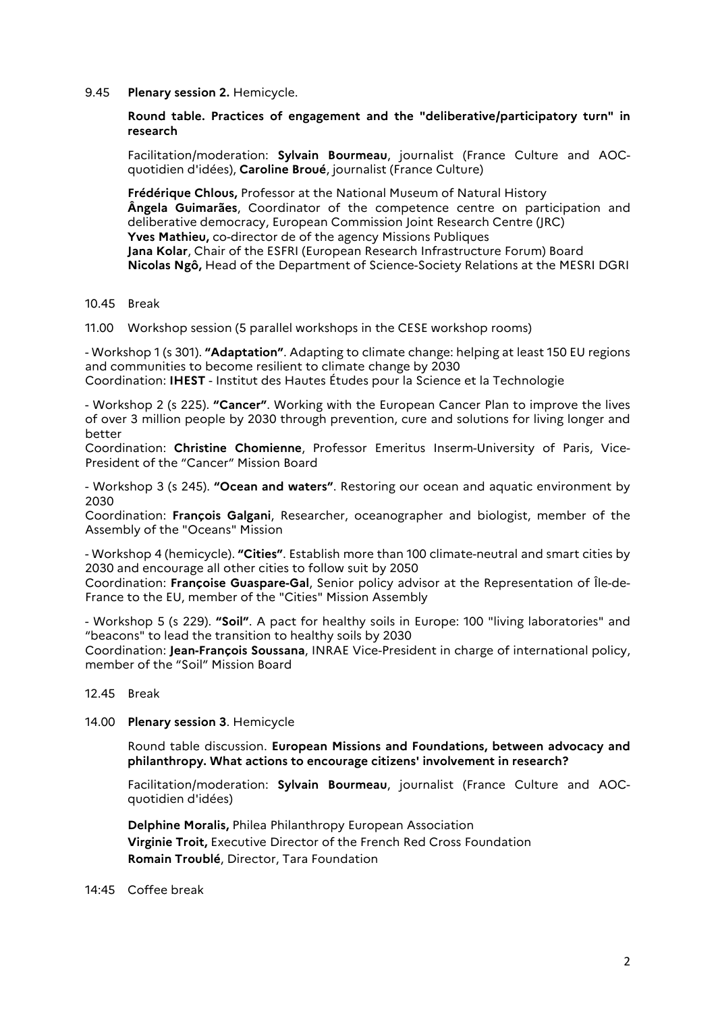9.45 **Plenary session 2.** Hemicycle.

**Round table. Practices of engagement and the "deliberative/participatory turn" in research**

Facilitation/moderation: **Sylvain Bourmeau**, journalist (France Culture and AOCquotidien d'idées), **Caroline Broué**, journalist (France Culture)

**Frédérique Chlous,** Professor at the National Museum of Natural History **Ângela Guimarães**, Coordinator of the competence centre on participation and deliberative democracy, European Commission Joint Research Centre (JRC) **Yves Mathieu,** co-director de of the agency Missions Publiques **Jana Kolar**, Chair of the ESFRI (European Research Infrastructure Forum) Board **Nicolas Ngô,** Head of the Department of Science-Society Relations at the MESRI DGRI

10.45 Break

11.00 Workshop session (5 parallel workshops in the CESE workshop rooms)

- Workshop 1 (s 301). **"Adaptation"**. Adapting to climate change: helping at least 150 EU regions and communities to become resilient to climate change by 2030 Coordination: **IHEST** - Institut des Hautes Études pour la Science et la Technologie

- Workshop 2 (s 225). **"Cancer"**. Working with the European Cancer Plan to improve the lives of over 3 million people by 2030 through prevention, cure and solutions for living longer and better

Coordination: **Christine Chomienne**, Professor Emeritus Inserm-University of Paris, Vice-President of the "Cancer" Mission Board

- Workshop 3 (s 245). **"Ocean and waters"**. Restoring our ocean and aquatic environment by 2030

Coordination: **François Galgani**, Researcher, oceanographer and biologist, member of the Assembly of the "Oceans" Mission

- Workshop 4 (hemicycle). **"Cities"**. Establish more than 100 climate-neutral and smart cities by 2030 and encourage all other cities to follow suit by 2050

Coordination: **Françoise Guaspare-Gal**, Senior policy advisor at the Representation of Île-de-France to the EU, member of the "Cities" Mission Assembly

- Workshop 5 (s 229). **"Soil"**. A pact for healthy soils in Europe: 100 "living laboratories" and "beacons" to lead the transition to healthy soils by 2030

Coordination: **Jean-François Soussana**, INRAE Vice-President in charge of international policy, member of the "Soil" Mission Board

- 12.45 Break
- 14.00 **Plenary session 3**. Hemicycle

Round table discussion. **European Missions and Foundations, between advocacy and philanthropy. What actions to encourage citizens' involvement in research?** 

Facilitation/moderation: **Sylvain Bourmeau**, journalist (France Culture and AOCquotidien d'idées)

**Delphine Moralis,** Philea Philanthropy European Association **Virginie Troit,** Executive Director of the French Red Cross Foundation **Romain Troublé**, Director, Tara Foundation

### 14:45 Coffee break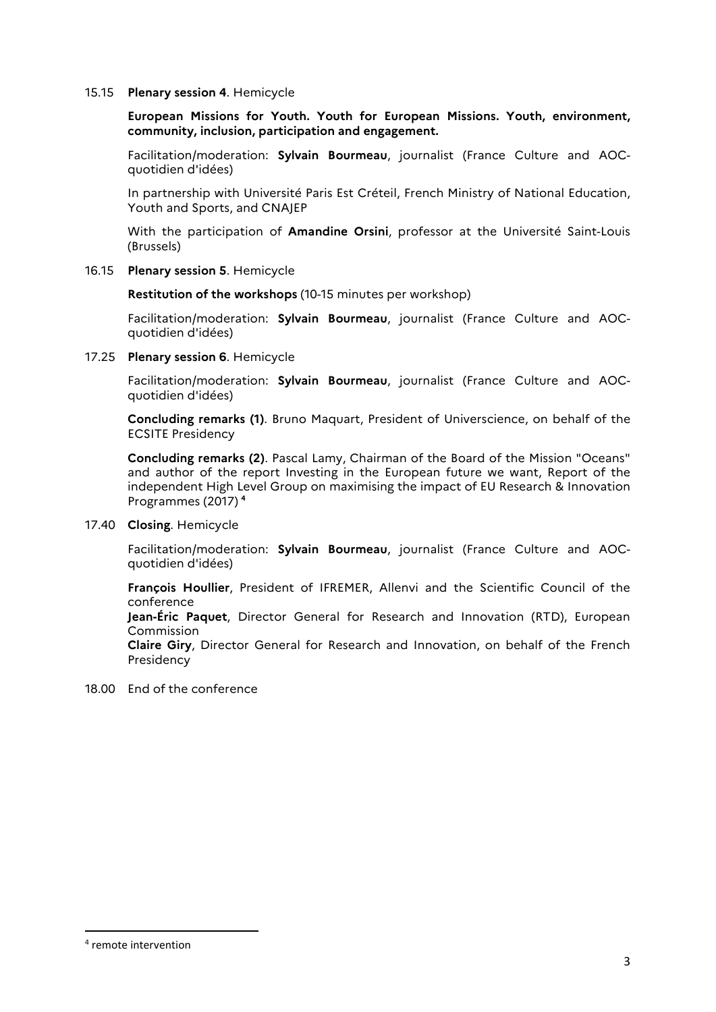#### 15.15 **Plenary session 4**. Hemicycle

**European Missions for Youth. Youth for European Missions. Youth, environment, community, inclusion, participation and engagement.**

Facilitation/moderation: **Sylvain Bourmeau**, journalist (France Culture and AOCquotidien d'idées)

In partnership with Université Paris Est Créteil, French Ministry of National Education, Youth and Sports, and CNAJEP

With the participation of **Amandine Orsini**, professor at the Université Saint-Louis (Brussels)

16.15 **Plenary session 5**. Hemicycle

**Restitution of the workshops** (10-15 minutes per workshop)

Facilitation/moderation: **Sylvain Bourmeau**, journalist (France Culture and AOCquotidien d'idées)

17.25 **Plenary session 6**. Hemicycle

Facilitation/moderation: **Sylvain Bourmeau**, journalist (France Culture and AOCquotidien d'idées)

**Concluding remarks (1)**. Bruno Maquart, President of Universcience, on behalf of the ECSITE Presidency

**Concluding remarks (2)**. Pascal Lamy, Chairman of the Board of the Mission "Oceans" and author of the report Investing in the European future we want, Report of the independent High Level Group on maximising the impact of EU Research & Innovation Programmes (2017) **[4](#page-2-0)**

17.40 **Closing**. Hemicycle

Facilitation/moderation: **Sylvain Bourmeau**, journalist (France Culture and AOCquotidien d'idées)

**François Houllier**, President of IFREMER, Allenvi and the Scientific Council of the conference

**Jean-Éric Paquet**, Director General for Research and Innovation (RTD), European Commission

**Claire Giry**, Director General for Research and Innovation, on behalf of the French Presidency

18.00 End of the conference

<span id="page-2-0"></span> <sup>4</sup> remote intervention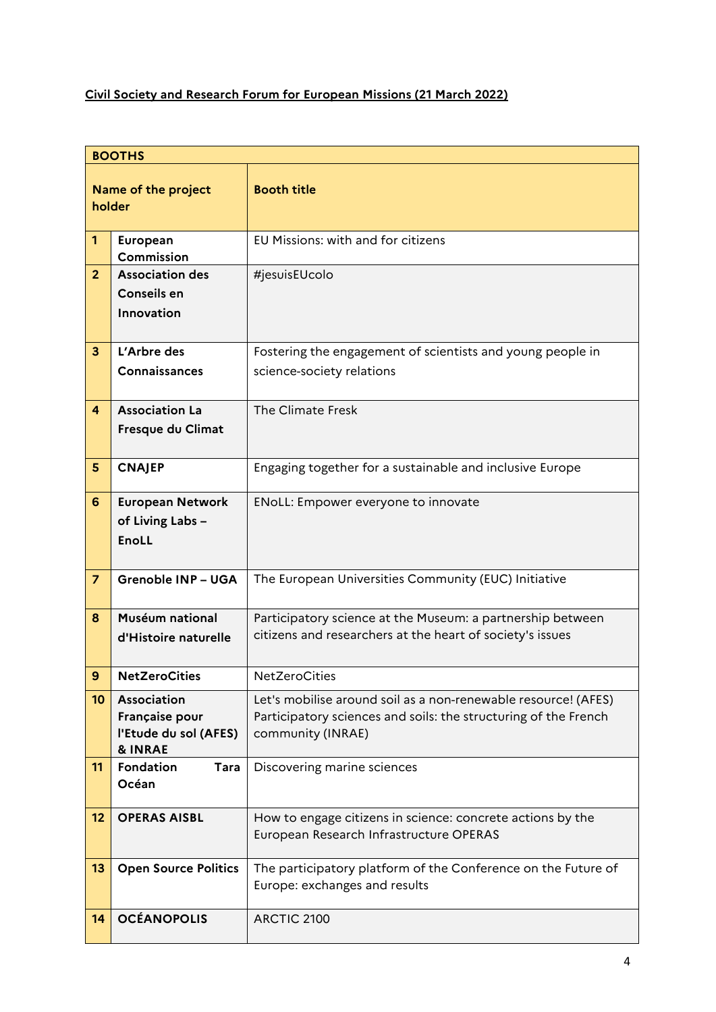## **Civil Society and Research Forum for European Missions (21 March 2022)**

| <b>BOOTHS</b>                 |                                                                              |                                                                                                                                                        |  |
|-------------------------------|------------------------------------------------------------------------------|--------------------------------------------------------------------------------------------------------------------------------------------------------|--|
| Name of the project<br>holder |                                                                              | <b>Booth title</b>                                                                                                                                     |  |
| $\mathbf{1}$                  | European<br>Commission                                                       | EU Missions: with and for citizens                                                                                                                     |  |
| 2 <sup>2</sup>                | <b>Association des</b><br><b>Conseils en</b><br>Innovation                   | #jesuisEUcolo                                                                                                                                          |  |
| $\mathbf{3}$                  | L'Arbre des<br>Connaissances                                                 | Fostering the engagement of scientists and young people in<br>science-society relations                                                                |  |
| $\overline{4}$                | <b>Association La</b><br>Fresque du Climat                                   | The Climate Fresk                                                                                                                                      |  |
| 5 <sup>5</sup>                | <b>CNAJEP</b>                                                                | Engaging together for a sustainable and inclusive Europe                                                                                               |  |
| 6                             | <b>European Network</b><br>of Living Labs -<br><b>EnoLL</b>                  | ENoLL: Empower everyone to innovate                                                                                                                    |  |
| $\overline{z}$                | <b>Grenoble INP - UGA</b>                                                    | The European Universities Community (EUC) Initiative                                                                                                   |  |
| 8                             | Muséum national<br>d'Histoire naturelle                                      | Participatory science at the Museum: a partnership between<br>citizens and researchers at the heart of society's issues                                |  |
| 9                             | <b>NetZeroCities</b>                                                         | <b>NetZeroCities</b>                                                                                                                                   |  |
| 10                            | Association<br>Française pour<br>l'Etude du sol (AFES)<br><b>&amp; INRAE</b> | Let's mobilise around soil as a non-renewable resource! (AFES)<br>Participatory sciences and soils: the structuring of the French<br>community (INRAE) |  |
| 11                            | Fondation<br>Tara<br>Océan                                                   | Discovering marine sciences                                                                                                                            |  |
| 12                            | <b>OPERAS AISBL</b>                                                          | How to engage citizens in science: concrete actions by the<br>European Research Infrastructure OPERAS                                                  |  |
| 13                            | <b>Open Source Politics</b>                                                  | The participatory platform of the Conference on the Future of<br>Europe: exchanges and results                                                         |  |
| 14                            | <b>OCÉANOPOLIS</b>                                                           | ARCTIC 2100                                                                                                                                            |  |